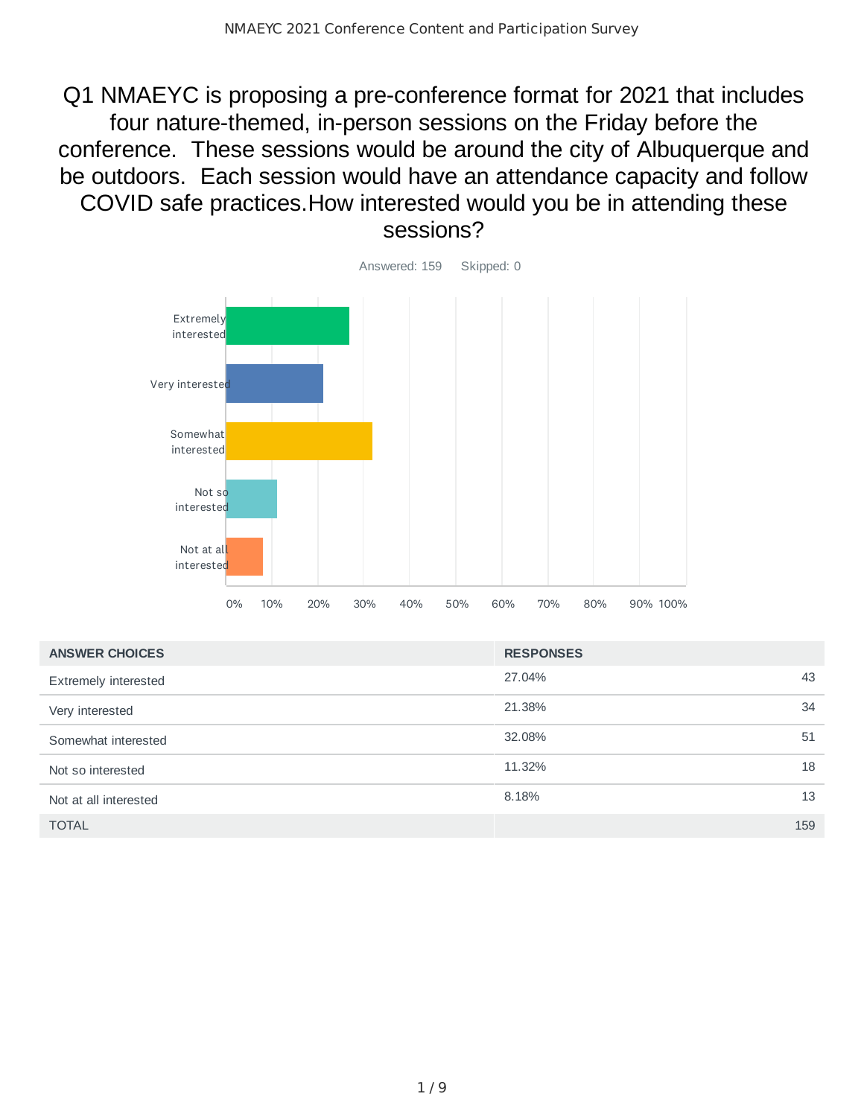Q1 NMAEYC is proposing a pre-conference format for 2021 that includes four nature-themed, in-person sessions on the Friday before the conference. These sessions would be around the city of Albuquerque and be outdoors. Each session would have an attendance capacity and follow COVID safe practices.How interested would you be in attending these sessions?



| <b>ANSWER CHOICES</b> | <b>RESPONSES</b> |     |
|-----------------------|------------------|-----|
| Extremely interested  | 27.04%           | 43  |
| Very interested       | 21.38%           | 34  |
| Somewhat interested   | 32.08%           | 51  |
| Not so interested     | 11.32%           | 18  |
| Not at all interested | 8.18%            | 13  |
| <b>TOTAL</b>          |                  | 159 |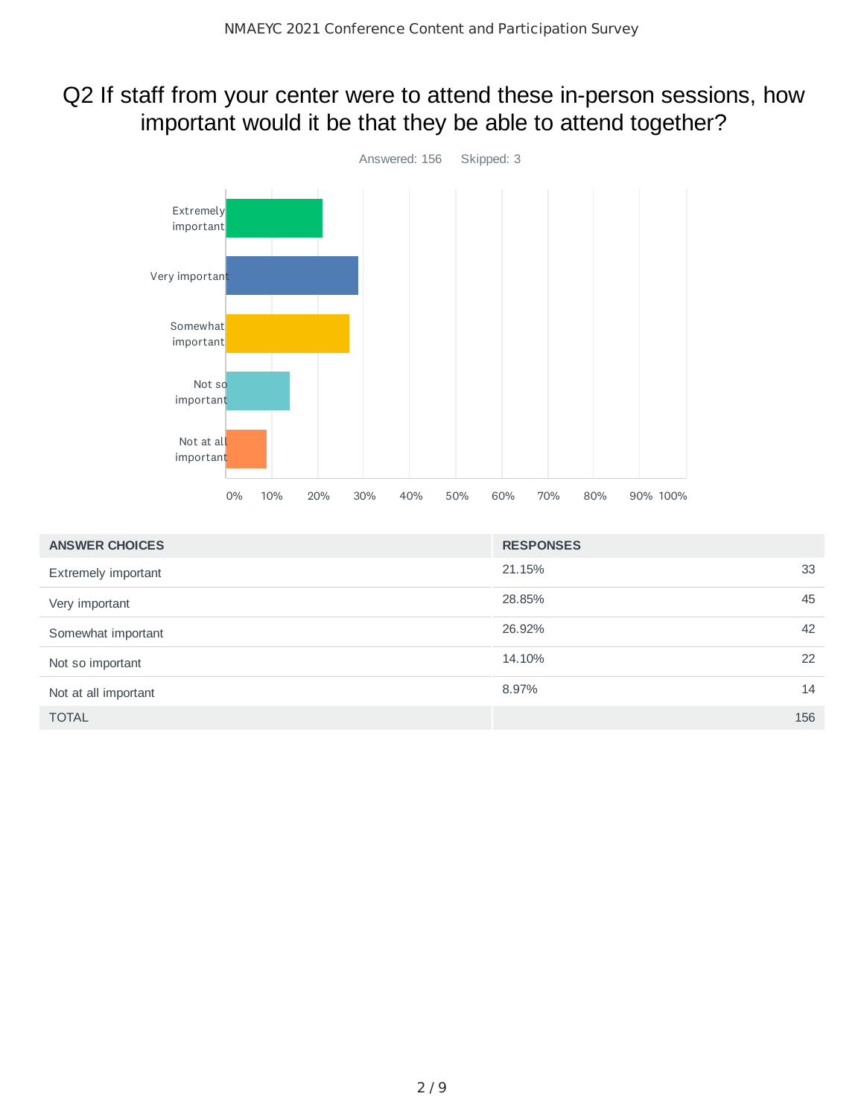### Q2 If staff from your center were to attend these in-person sessions, how important would it be that they be able to attend together?



| <b>ANSWER CHOICES</b> | <b>RESPONSES</b> |
|-----------------------|------------------|
| Extremely important   | 33<br>21.15%     |
| Very important        | 45<br>28.85%     |
| Somewhat important    | 42<br>26.92%     |
| Not so important      | 22<br>14.10%     |
| Not at all important  | 8.97%<br>14      |
| <b>TOTAL</b>          | 156              |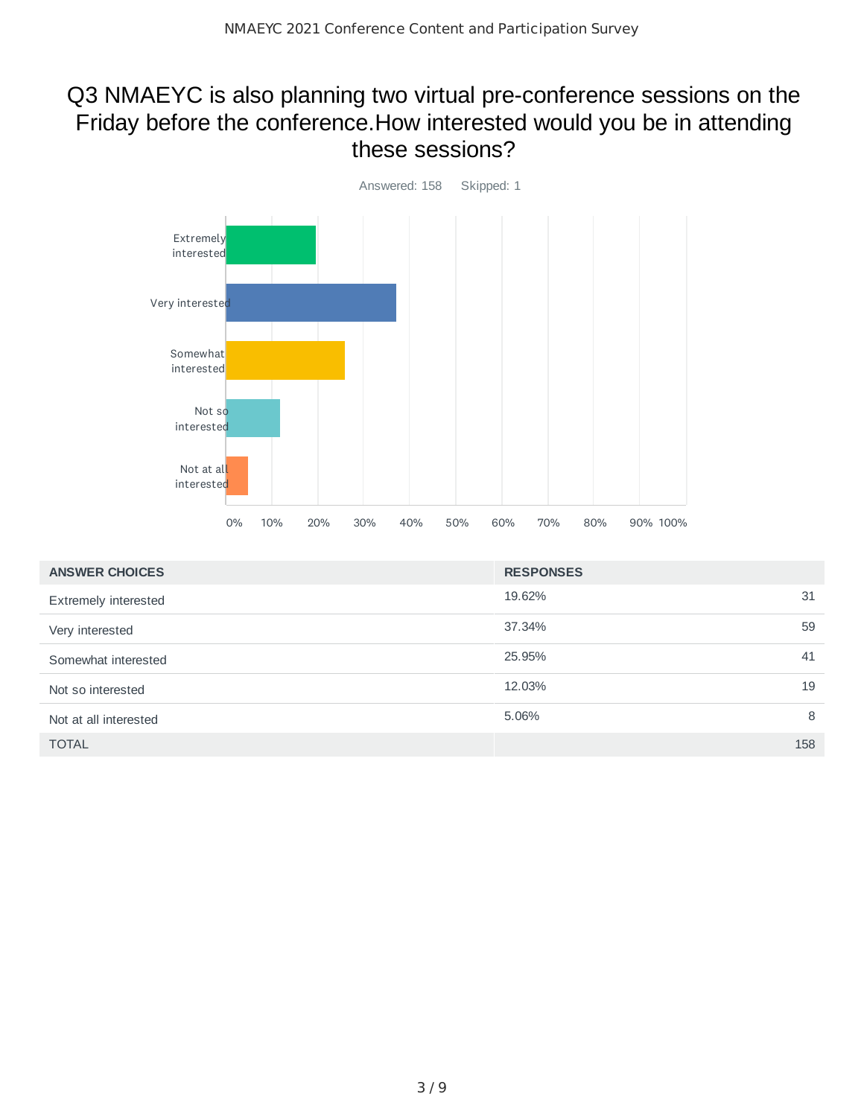#### Q3 NMAEYC is also planning two virtual pre-conference sessions on the Friday before the conference.How interested would you be in attending these sessions?



| <b>ANSWER CHOICES</b> | <b>RESPONSES</b> |
|-----------------------|------------------|
| Extremely interested  | 19.62%<br>31     |
| Very interested       | 37.34%<br>59     |
| Somewhat interested   | 25.95%<br>41     |
| Not so interested     | 12.03%<br>19     |
| Not at all interested | 8<br>5.06%       |
| <b>TOTAL</b>          | 158              |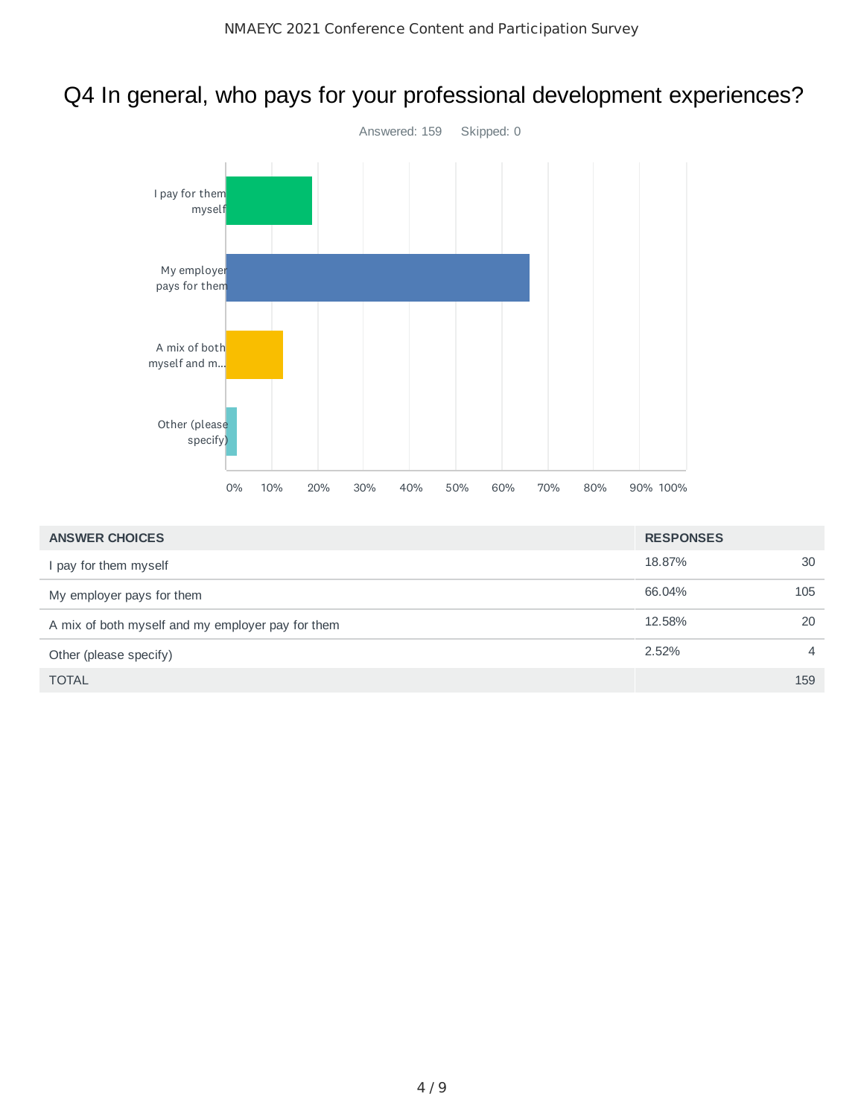## Q4 In general, who pays for your professional development experiences?



| <b>ANSWER CHOICES</b>                             | <b>RESPONSES</b> |     |
|---------------------------------------------------|------------------|-----|
| I pay for them myself                             | 18.87%           | 30  |
| My employer pays for them                         | 66.04%           | 105 |
| A mix of both myself and my employer pay for them | 12.58%           | 20  |
| Other (please specify)                            | $2.52\%$         | 4   |
| <b>TOTAL</b>                                      |                  | 159 |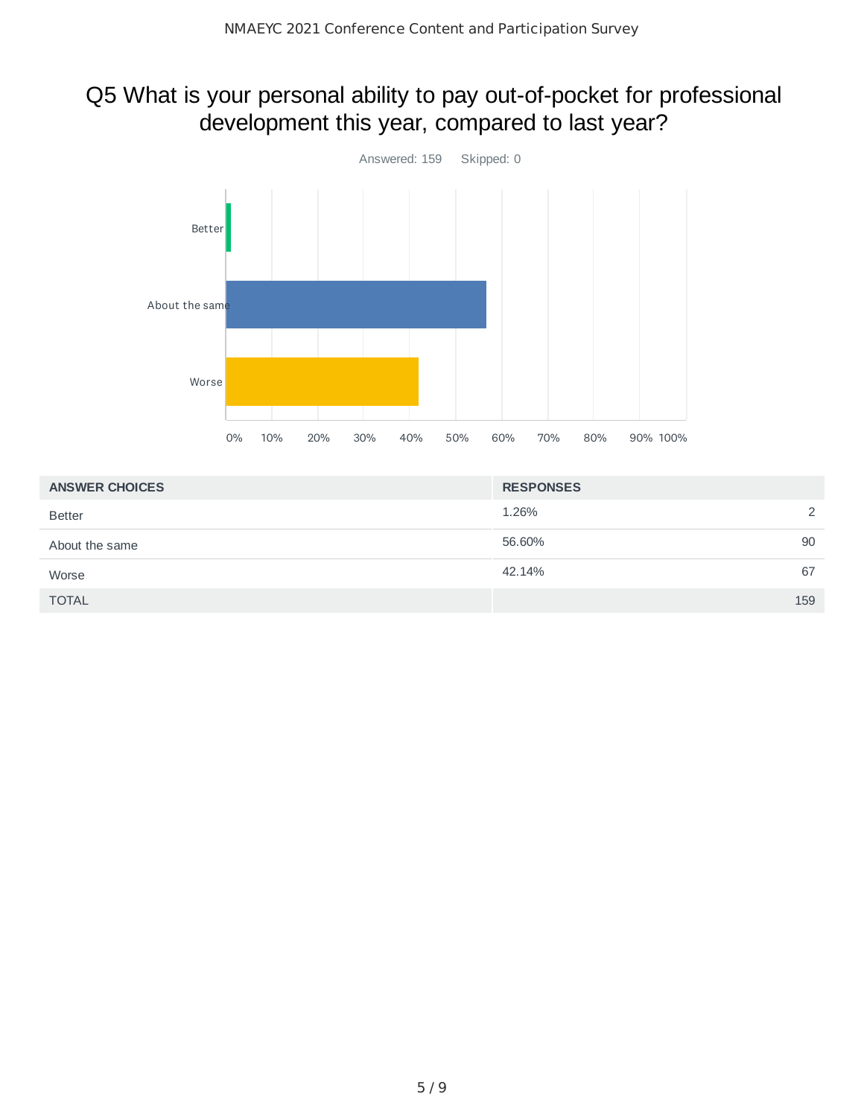# Q5 What is your personal ability to pay out-of-pocket for professional development this year, compared to last year?



| <b>ANSWER CHOICES</b> | <b>RESPONSES</b> |
|-----------------------|------------------|
| <b>Better</b>         | 2<br>1.26%       |
| About the same        | 90<br>56.60%     |
| Worse                 | 67<br>42.14%     |
| <b>TOTAL</b>          | 159              |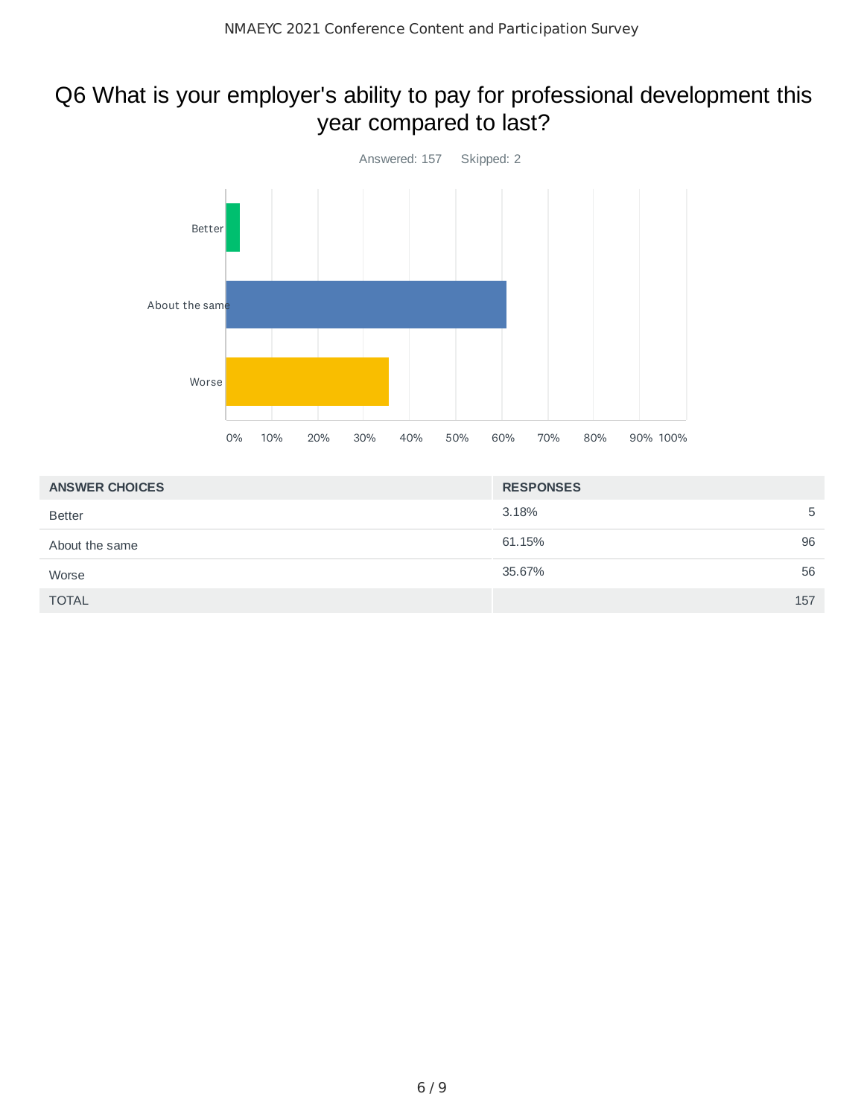## Q6 What is your employer's ability to pay for professional development this year compared to last?



| <b>ANSWER CHOICES</b> | <b>RESPONSES</b> |
|-----------------------|------------------|
| <b>Better</b>         | 3.18%<br>5       |
| About the same        | 96<br>61.15%     |
| Worse                 | 56<br>35.67%     |
| <b>TOTAL</b>          | 157              |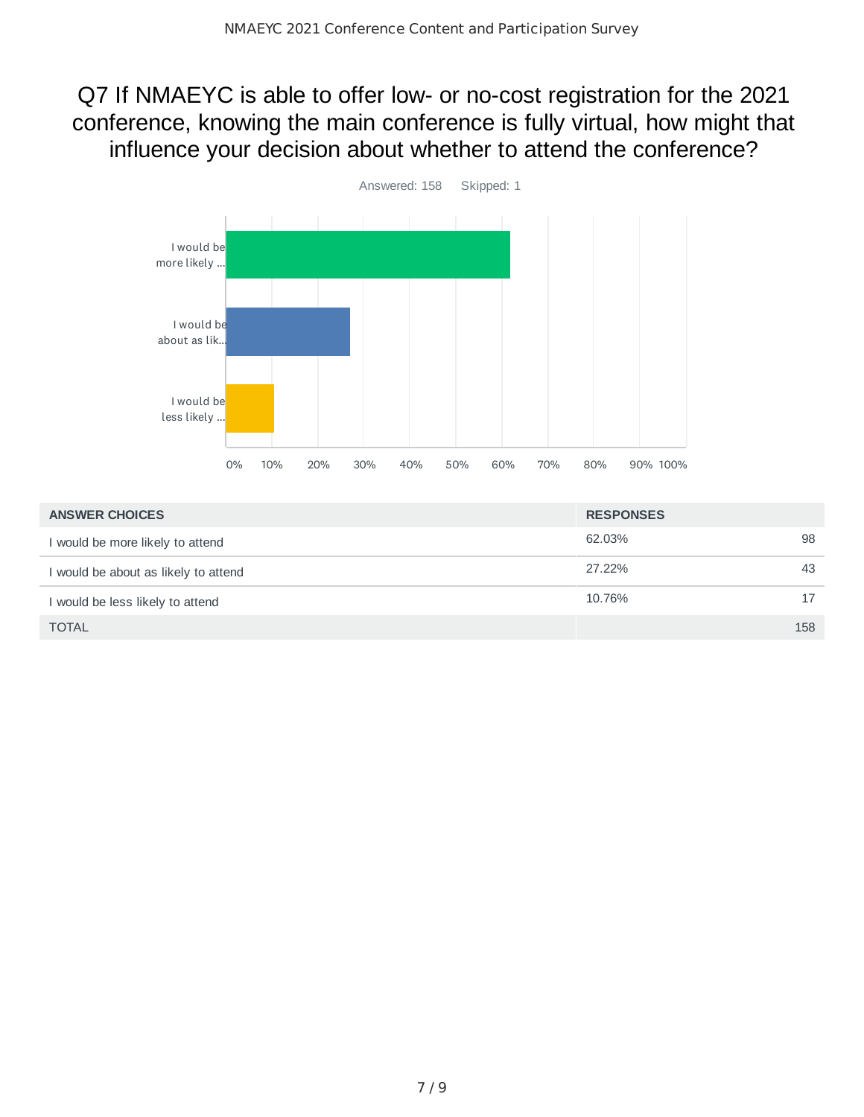## Q7 If NMAEYC is able to offer low- or no-cost registration for the 2021 conference, knowing the main conference is fully virtual, how might that influence your decision about whether to attend the conference?



| <b>ANSWER CHOICES</b>                | <b>RESPONSES</b> |     |
|--------------------------------------|------------------|-----|
| I would be more likely to attend     | 62.03%           | 98  |
| I would be about as likely to attend | 27.22%           | 43  |
| I would be less likely to attend     | 10.76%           | 17  |
| <b>TOTAL</b>                         |                  | 158 |